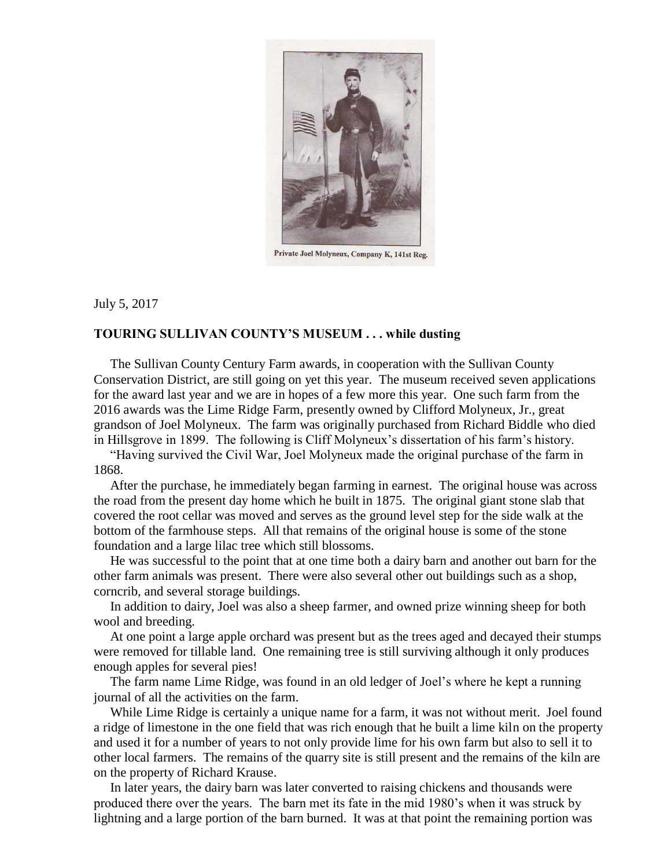

Private Joel Molyneux, Company K, 141st Reg.

July 5, 2017

## **TOURING SULLIVAN COUNTY'S MUSEUM . . . while dusting**

 The Sullivan County Century Farm awards, in cooperation with the Sullivan County Conservation District, are still going on yet this year. The museum received seven applications for the award last year and we are in hopes of a few more this year. One such farm from the 2016 awards was the Lime Ridge Farm, presently owned by Clifford Molyneux, Jr., great grandson of Joel Molyneux. The farm was originally purchased from Richard Biddle who died in Hillsgrove in 1899. The following is Cliff Molyneux's dissertation of his farm's history.

 "Having survived the Civil War, Joel Molyneux made the original purchase of the farm in 1868.

 After the purchase, he immediately began farming in earnest. The original house was across the road from the present day home which he built in 1875. The original giant stone slab that covered the root cellar was moved and serves as the ground level step for the side walk at the bottom of the farmhouse steps. All that remains of the original house is some of the stone foundation and a large lilac tree which still blossoms.

 He was successful to the point that at one time both a dairy barn and another out barn for the other farm animals was present. There were also several other out buildings such as a shop, corncrib, and several storage buildings.

 In addition to dairy, Joel was also a sheep farmer, and owned prize winning sheep for both wool and breeding.

 At one point a large apple orchard was present but as the trees aged and decayed their stumps were removed for tillable land. One remaining tree is still surviving although it only produces enough apples for several pies!

 The farm name Lime Ridge, was found in an old ledger of Joel's where he kept a running journal of all the activities on the farm.

 While Lime Ridge is certainly a unique name for a farm, it was not without merit. Joel found a ridge of limestone in the one field that was rich enough that he built a lime kiln on the property and used it for a number of years to not only provide lime for his own farm but also to sell it to other local farmers. The remains of the quarry site is still present and the remains of the kiln are on the property of Richard Krause.

 In later years, the dairy barn was later converted to raising chickens and thousands were produced there over the years. The barn met its fate in the mid 1980's when it was struck by lightning and a large portion of the barn burned. It was at that point the remaining portion was